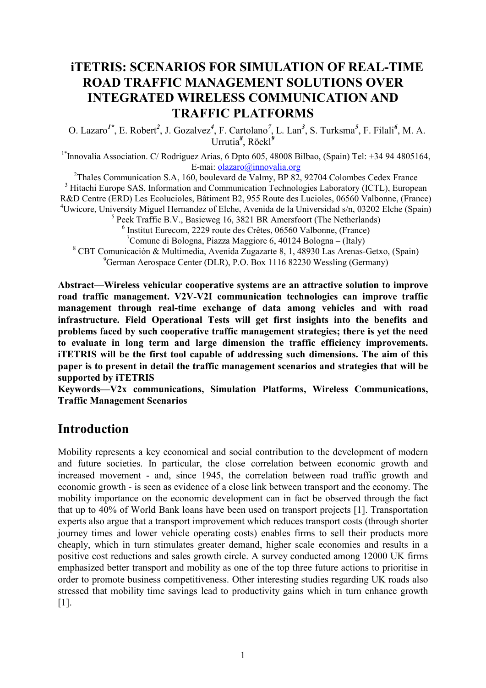# **iTETRIS: SCENARIOS FOR SIMULATION OF REAL-TIME ROAD TRAFFIC MANAGEMENT SOLUTIONS OVER INTEGRATED WIRELESS COMMUNICATION AND TRAFFIC PLATFORMS**

O. Lazaro<sup>1\*</sup>, E. Robert<sup>2</sup>, J. Gozalvez<sup>4</sup>, F. Cartolano<sup>7</sup>, L. Lan<sup>3</sup>, S. Turksma<sup>5</sup>, F. Filali<sup>6</sup>, M. A. Urrutia*<sup>8</sup>* , Röckl*<sup>9</sup>*

<sup>1\*</sup>Innovalia Association. C/ Rodriguez Arias, 6 Dpto 605, 48008 Bilbao, (Spain) Tel: +34 94 4805164, E-mai: olazaro@innovalia.org

 $2$ Thales Communication S.A, 160, boulevard de Valmy, BP 82, 92704 Colombes Cedex France <sup>3</sup> Hitachi Europe SAS, Information and Communication Technologies Laboratory (ICTL), European R&D Centre (ERD) Les Ecolucioles, Bâtiment B2, 955 Route des Lucioles, 06560 Valbonne, (France) <sup>4</sup>Uwicore, University Miguel Hernandez of Elche, Avenida de la Universidad s/n, 03202 Elche (Spain) <sup>5</sup> Peek Traffic B.V., Basicweg 16, 3821 BR Amersfoort (The Netherlands) 6 Institut Eurecom, 2229 route des Crêtes, 06560 Valbonne, (France)

<sup>7</sup>Comune di Bologna, Piazza Maggiore 6, 40124 Bologna – (Italy)

8 CBT Comunicación & Multimedia, Avenida Zugazarte 8, 1, 48930 Las Arenas-Getxo, (Spain) <sup>9</sup>German Aerospace Center (DLR), P.O. Box 1116 82230 Wessling (Germany)

**Abstract—Wireless vehicular cooperative systems are an attractive solution to improve road traffic management. V2V-V2I communication technologies can improve traffic management through real-time exchange of data among vehicles and with road infrastructure. Field Operational Tests will get first insights into the benefits and problems faced by such cooperative traffic management strategies; there is yet the need to evaluate in long term and large dimension the traffic efficiency improvements. iTETRIS will be the first tool capable of addressing such dimensions. The aim of this paper is to present in detail the traffic management scenarios and strategies that will be supported by iTETRIS** 

**Keywords—V2x communications, Simulation Platforms, Wireless Communications, Traffic Management Scenarios** 

## **Introduction**

Mobility represents a key economical and social contribution to the development of modern and future societies. In particular, the close correlation between economic growth and increased movement - and, since 1945, the correlation between road traffic growth and economic growth - is seen as evidence of a close link between transport and the economy. The mobility importance on the economic development can in fact be observed through the fact that up to 40% of World Bank loans have been used on transport projects [1]. Transportation experts also argue that a transport improvement which reduces transport costs (through shorter journey times and lower vehicle operating costs) enables firms to sell their products more cheaply, which in turn stimulates greater demand, higher scale economies and results in a positive cost reductions and sales growth circle. A survey conducted among 12000 UK firms emphasized better transport and mobility as one of the top three future actions to prioritise in order to promote business competitiveness. Other interesting studies regarding UK roads also stressed that mobility time savings lead to productivity gains which in turn enhance growth [1].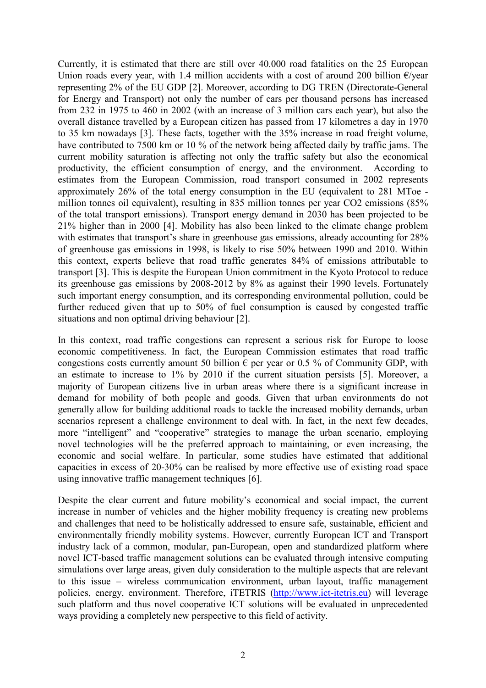Currently, it is estimated that there are still over 40.000 road fatalities on the 25 European Union roads every year, with 1.4 million accidents with a cost of around 200 billion  $\epsilon$ /year representing 2% of the EU GDP [2]. Moreover, according to DG TREN (Directorate-General for Energy and Transport) not only the number of cars per thousand persons has increased from 232 in 1975 to 460 in 2002 (with an increase of 3 million cars each year), but also the overall distance travelled by a European citizen has passed from 17 kilometres a day in 1970 to 35 km nowadays [3]. These facts, together with the 35% increase in road freight volume, have contributed to 7500 km or 10 % of the network being affected daily by traffic jams. The current mobility saturation is affecting not only the traffic safety but also the economical productivity, the efficient consumption of energy, and the environment. According to estimates from the European Commission, road transport consumed in 2002 represents approximately 26% of the total energy consumption in the EU (equivalent to 281 MToe million tonnes oil equivalent), resulting in 835 million tonnes per year CO2 emissions (85% of the total transport emissions). Transport energy demand in 2030 has been projected to be 21% higher than in 2000 [4]. Mobility has also been linked to the climate change problem with estimates that transport's share in greenhouse gas emissions, already accounting for 28% of greenhouse gas emissions in 1998, is likely to rise 50% between 1990 and 2010. Within this context, experts believe that road traffic generates 84% of emissions attributable to transport [3]. This is despite the European Union commitment in the Kyoto Protocol to reduce its greenhouse gas emissions by 2008-2012 by 8% as against their 1990 levels. Fortunately such important energy consumption, and its corresponding environmental pollution, could be further reduced given that up to 50% of fuel consumption is caused by congested traffic situations and non optimal driving behaviour [2].

In this context, road traffic congestions can represent a serious risk for Europe to loose economic competitiveness. In fact, the European Commission estimates that road traffic congestions costs currently amount 50 billion  $\epsilon$  per year or 0.5 % of Community GDP, with an estimate to increase to 1% by 2010 if the current situation persists [5]. Moreover, a majority of European citizens live in urban areas where there is a significant increase in demand for mobility of both people and goods. Given that urban environments do not generally allow for building additional roads to tackle the increased mobility demands, urban scenarios represent a challenge environment to deal with. In fact, in the next few decades, more "intelligent" and "cooperative" strategies to manage the urban scenario, employing novel technologies will be the preferred approach to maintaining, or even increasing, the economic and social welfare. In particular, some studies have estimated that additional capacities in excess of 20-30% can be realised by more effective use of existing road space using innovative traffic management techniques [6].

Despite the clear current and future mobility's economical and social impact, the current increase in number of vehicles and the higher mobility frequency is creating new problems and challenges that need to be holistically addressed to ensure safe, sustainable, efficient and environmentally friendly mobility systems. However, currently European ICT and Transport industry lack of a common, modular, pan-European, open and standardized platform where novel ICT-based traffic management solutions can be evaluated through intensive computing simulations over large areas, given duly consideration to the multiple aspects that are relevant to this issue – wireless communication environment, urban layout, traffic management policies, energy, environment. Therefore, iTETRIS (http://www.ict-itetris.eu) will leverage such platform and thus novel cooperative ICT solutions will be evaluated in unprecedented ways providing a completely new perspective to this field of activity.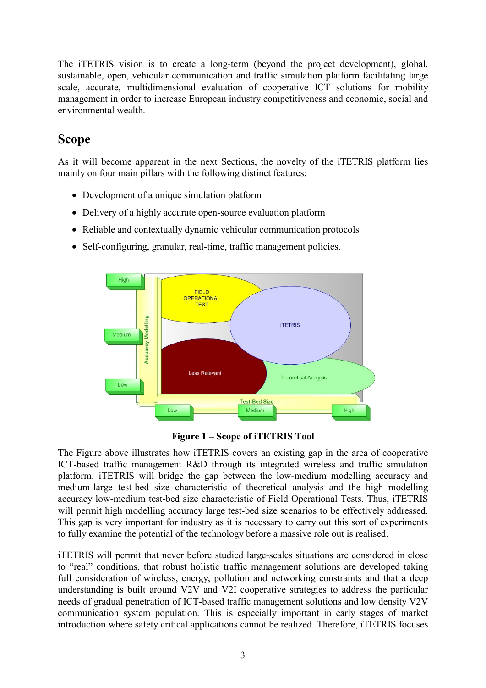The iTETRIS vision is to create a long-term (beyond the project development), global, sustainable, open, vehicular communication and traffic simulation platform facilitating large scale, accurate, multidimensional evaluation of cooperative ICT solutions for mobility management in order to increase European industry competitiveness and economic, social and environmental wealth.

# **Scope**

As it will become apparent in the next Sections, the novelty of the iTETRIS platform lies mainly on four main pillars with the following distinct features:

- Development of a unique simulation platform
- Delivery of a highly accurate open-source evaluation platform
- Reliable and contextually dynamic vehicular communication protocols
- Self-configuring, granular, real-time, traffic management policies.



**Figure 1 – Scope of iTETRIS Tool** 

The Figure above illustrates how iTETRIS covers an existing gap in the area of cooperative ICT-based traffic management R&D through its integrated wireless and traffic simulation platform. iTETRIS will bridge the gap between the low-medium modelling accuracy and medium-large test-bed size characteristic of theoretical analysis and the high modelling accuracy low-medium test-bed size characteristic of Field Operational Tests. Thus, iTETRIS will permit high modelling accuracy large test-bed size scenarios to be effectively addressed. This gap is very important for industry as it is necessary to carry out this sort of experiments to fully examine the potential of the technology before a massive role out is realised.

iTETRIS will permit that never before studied large-scales situations are considered in close to "real" conditions, that robust holistic traffic management solutions are developed taking full consideration of wireless, energy, pollution and networking constraints and that a deep understanding is built around V2V and V2I cooperative strategies to address the particular needs of gradual penetration of ICT-based traffic management solutions and low density V2V communication system population. This is especially important in early stages of market introduction where safety critical applications cannot be realized. Therefore, iTETRIS focuses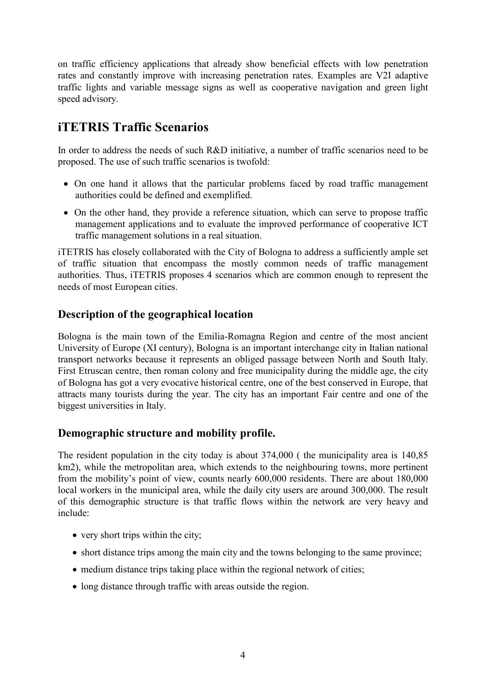on traffic efficiency applications that already show beneficial effects with low penetration rates and constantly improve with increasing penetration rates. Examples are V2I adaptive traffic lights and variable message signs as well as cooperative navigation and green light speed advisory.

# **iTETRIS Traffic Scenarios**

In order to address the needs of such R&D initiative, a number of traffic scenarios need to be proposed. The use of such traffic scenarios is twofold:

- On one hand it allows that the particular problems faced by road traffic management authorities could be defined and exemplified.
- On the other hand, they provide a reference situation, which can serve to propose traffic management applications and to evaluate the improved performance of cooperative ICT traffic management solutions in a real situation.

iTETRIS has closely collaborated with the City of Bologna to address a sufficiently ample set of traffic situation that encompass the mostly common needs of traffic management authorities. Thus, iTETRIS proposes 4 scenarios which are common enough to represent the needs of most European cities.

### **Description of the geographical location**

Bologna is the main town of the Emilia-Romagna Region and centre of the most ancient University of Europe (XI century), Bologna is an important interchange city in Italian national transport networks because it represents an obliged passage between North and South Italy. First Etruscan centre, then roman colony and free municipality during the middle age, the city of Bologna has got a very evocative historical centre, one of the best conserved in Europe, that attracts many tourists during the year. The city has an important Fair centre and one of the biggest universities in Italy.

#### **Demographic structure and mobility profile.**

The resident population in the city today is about 374,000 ( the municipality area is 140,85 km2), while the metropolitan area, which extends to the neighbouring towns, more pertinent from the mobility's point of view, counts nearly 600,000 residents. There are about 180,000 local workers in the municipal area, while the daily city users are around 300,000. The result of this demographic structure is that traffic flows within the network are very heavy and include:

- very short trips within the city;
- short distance trips among the main city and the towns belonging to the same province;
- medium distance trips taking place within the regional network of cities;
- long distance through traffic with areas outside the region.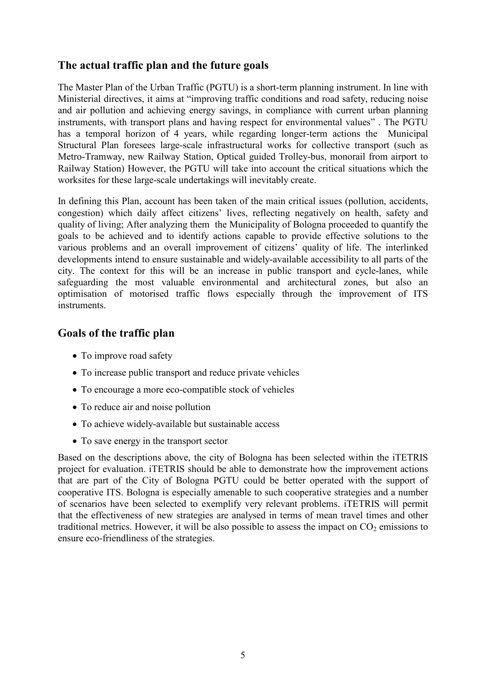#### **The actual traffic plan and the future goals**

The Master Plan of the Urban Traffic (PGTU) is a short-term planning instrument. In line with Ministerial directives, it aims at "improving traffic conditions and road safety, reducing noise and air pollution and achieving energy savings, in compliance with current urban planning instruments, with transport plans and having respect for environmental values" . The PGTU has a temporal horizon of 4 years, while regarding longer-term actions the Municipal Structural Plan foresees large-scale infrastructural works for collective transport (such as Metro-Tramway, new Railway Station, Optical guided Trolley-bus, monorail from airport to Railway Station) However, the PGTU will take into account the critical situations which the worksites for these large-scale undertakings will inevitably create.

In defining this Plan, account has been taken of the main critical issues (pollution, accidents, congestion) which daily affect citizens' lives, reflecting negatively on health, safety and quality of living; After analyzing them the Municipality of Bologna proceeded to quantify the goals to be achieved and to identify actions capable to provide effective solutions to the various problems and an overall improvement of citizens' quality of life. The interlinked developments intend to ensure sustainable and widely-available accessibility to all parts of the city. The context for this will be an increase in public transport and cycle-lanes, while safeguarding the most valuable environmental and architectural zones, but also an optimisation of motorised traffic flows especially through the improvement of ITS instruments.

### **Goals of the traffic plan**

- To improve road safety
- To increase public transport and reduce private vehicles
- To encourage a more eco-compatible stock of vehicles
- To reduce air and noise pollution
- To achieve widely-available but sustainable access
- To save energy in the transport sector

Based on the descriptions above, the city of Bologna has been selected within the iTETRIS project for evaluation. iTETRIS should be able to demonstrate how the improvement actions that are part of the City of Bologna PGTU could be better operated with the support of cooperative ITS. Bologna is especially amenable to such cooperative strategies and a number of scenarios have been selected to exemplify very relevant problems. iTETRIS will permit that the effectiveness of new strategies are analysed in terms of mean travel times and other traditional metrics. However, it will be also possible to assess the impact on  $CO<sub>2</sub>$  emissions to ensure eco-friendliness of the strategies.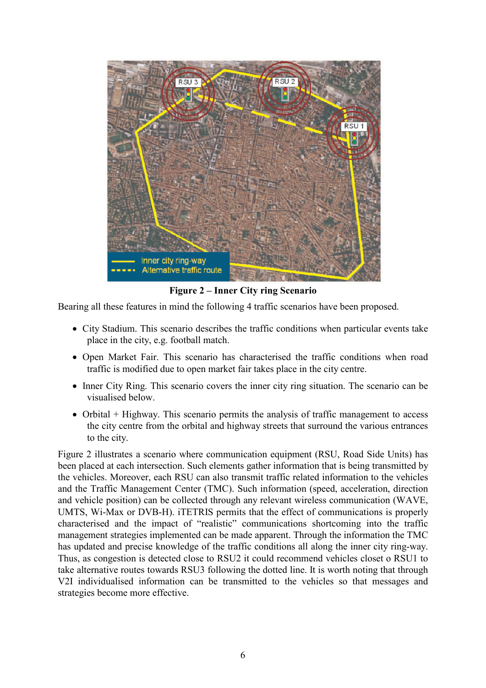

**Figure 2 – Inner City ring Scenario** 

Bearing all these features in mind the following 4 traffic scenarios have been proposed.

- City Stadium. This scenario describes the traffic conditions when particular events take place in the city, e.g. football match.
- Open Market Fair. This scenario has characterised the traffic conditions when road traffic is modified due to open market fair takes place in the city centre.
- Inner City Ring. This scenario covers the inner city ring situation. The scenario can be visualised below.
- Orbital + Highway. This scenario permits the analysis of traffic management to access the city centre from the orbital and highway streets that surround the various entrances to the city.

Figure 2 illustrates a scenario where communication equipment (RSU, Road Side Units) has been placed at each intersection. Such elements gather information that is being transmitted by the vehicles. Moreover, each RSU can also transmit traffic related information to the vehicles and the Traffic Management Center (TMC). Such information (speed, acceleration, direction and vehicle position) can be collected through any relevant wireless communication (WAVE, UMTS, Wi-Max or DVB-H). iTETRIS permits that the effect of communications is properly characterised and the impact of "realistic" communications shortcoming into the traffic management strategies implemented can be made apparent. Through the information the TMC has updated and precise knowledge of the traffic conditions all along the inner city ring-way. Thus, as congestion is detected close to RSU2 it could recommend vehicles closet o RSU1 to take alternative routes towards RSU3 following the dotted line. It is worth noting that through V2I individualised information can be transmitted to the vehicles so that messages and strategies become more effective.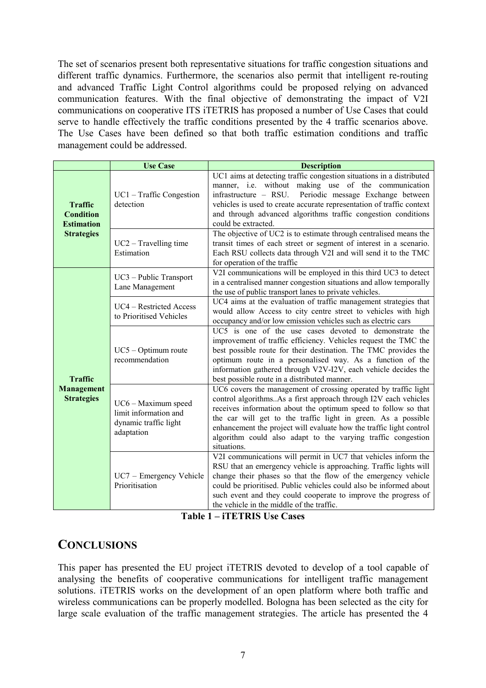The set of scenarios present both representative situations for traffic congestion situations and different traffic dynamics. Furthermore, the scenarios also permit that intelligent re-routing and advanced Traffic Light Control algorithms could be proposed relying on advanced communication features. With the final objective of demonstrating the impact of V2I communications on cooperative ITS iTETRIS has proposed a number of Use Cases that could serve to handle effectively the traffic conditions presented by the 4 traffic scenarios above. The Use Cases have been defined so that both traffic estimation conditions and traffic management could be addressed.

|                                                                              | <b>Use Case</b>                                                                     | <b>Description</b>                                                                                                                                                                                                                                                                                                                                                                                                            |
|------------------------------------------------------------------------------|-------------------------------------------------------------------------------------|-------------------------------------------------------------------------------------------------------------------------------------------------------------------------------------------------------------------------------------------------------------------------------------------------------------------------------------------------------------------------------------------------------------------------------|
| <b>Traffic</b><br><b>Condition</b><br><b>Estimation</b><br><b>Strategies</b> | $UC1 - Traffic Congestion$<br>detection                                             | UC1 aims at detecting traffic congestion situations in a distributed<br>manner, i.e. without making use of the communication<br>infrastructure - RSU.<br>Periodic message Exchange between<br>vehicles is used to create accurate representation of traffic context<br>and through advanced algorithms traffic congestion conditions<br>could be extracted.                                                                   |
|                                                                              | $UC2 - Travelling time$<br>Estimation                                               | The objective of UC2 is to estimate through centralised means the<br>transit times of each street or segment of interest in a scenario.<br>Each RSU collects data through V2I and will send it to the TMC<br>for operation of the traffic                                                                                                                                                                                     |
| <b>Traffic</b><br><b>Management</b><br><b>Strategies</b>                     | UC3 - Public Transport<br>Lane Management                                           | V2I communications will be employed in this third UC3 to detect<br>in a centralised manner congestion situations and allow temporally<br>the use of public transport lanes to private vehicles.                                                                                                                                                                                                                               |
|                                                                              | UC4 - Restricted Access<br>to Prioritised Vehicles                                  | UC4 aims at the evaluation of traffic management strategies that<br>would allow Access to city centre street to vehicles with high<br>occupancy and/or low emission vehicles such as electric cars                                                                                                                                                                                                                            |
|                                                                              | $UC5 - Optimum route$<br>recommendation                                             | UC5 is one of the use cases devoted to demonstrate the<br>improvement of traffic efficiency. Vehicles request the TMC the<br>best possible route for their destination. The TMC provides the<br>optimum route in a personalised way. As a function of the<br>information gathered through V2V-I2V, each vehicle decides the<br>best possible route in a distributed manner.                                                   |
|                                                                              | UC6 - Maximum speed<br>limit information and<br>dynamic traffic light<br>adaptation | UC6 covers the management of crossing operated by traffic light<br>control algorithms. As a first approach through I2V each vehicles<br>receives information about the optimum speed to follow so that<br>the car will get to the traffic light in green. As a possible<br>enhancement the project will evaluate how the traffic light control<br>algorithm could also adapt to the varying traffic congestion<br>situations. |
|                                                                              | UC7 – Emergency Vehicle<br>Prioritisation                                           | V2I communications will permit in UC7 that vehicles inform the<br>RSU that an emergency vehicle is approaching. Traffic lights will<br>change their phases so that the flow of the emergency vehicle<br>could be prioritised. Public vehicles could also be informed about<br>such event and they could cooperate to improve the progress of<br>the vehicle in the middle of the traffic.                                     |

**Table 1 – iTETRIS Use Cases** 

## **CONCLUSIONS**

This paper has presented the EU project iTETRIS devoted to develop of a tool capable of analysing the benefits of cooperative communications for intelligent traffic management solutions. iTETRIS works on the development of an open platform where both traffic and wireless communications can be properly modelled. Bologna has been selected as the city for large scale evaluation of the traffic management strategies. The article has presented the 4